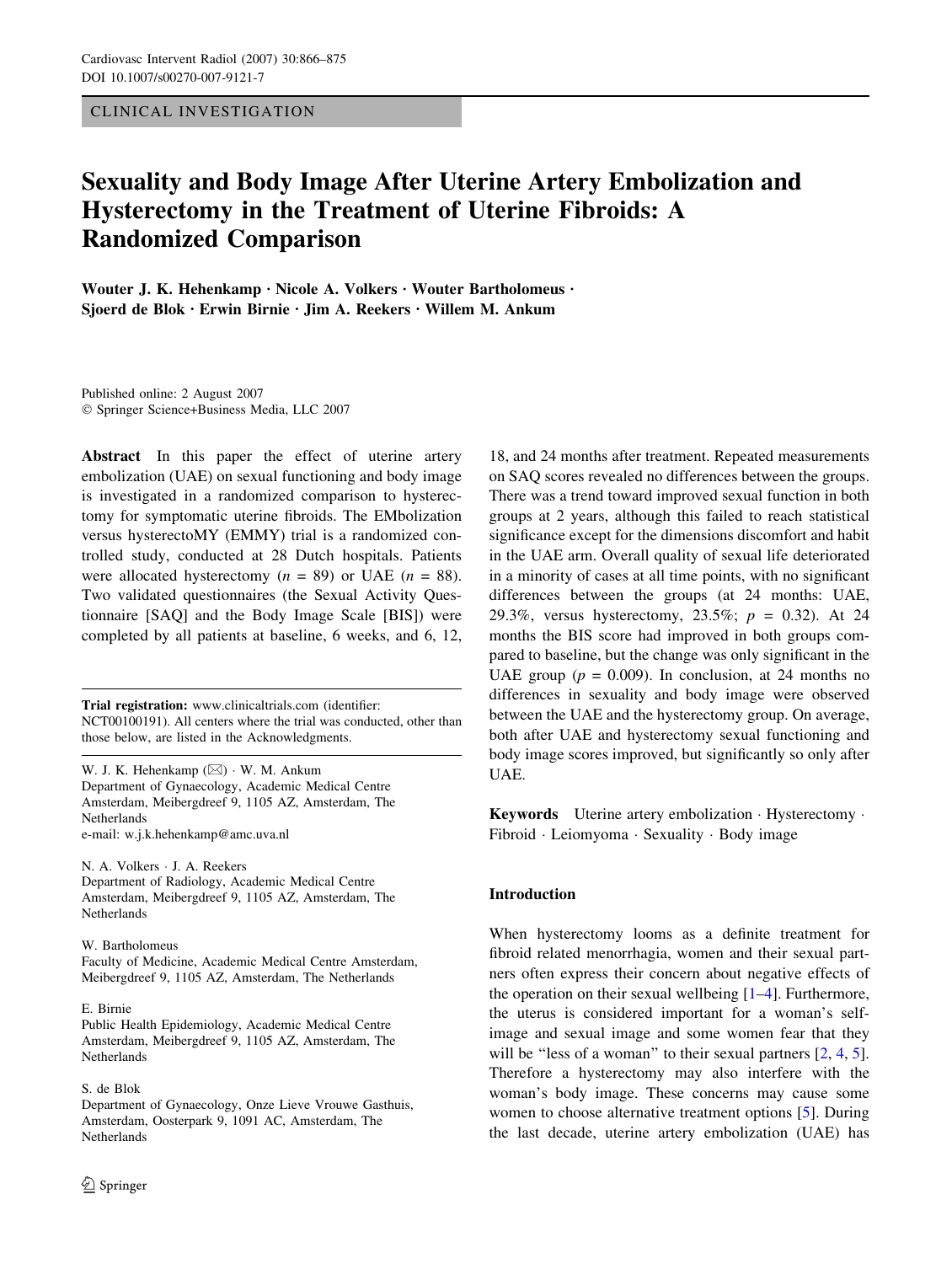CLINICAL INVESTIGATION

# Sexuality and Body Image After Uterine Artery Embolization and Hysterectomy in the Treatment of Uterine Fibroids: A Randomized Comparison

Wouter J. K. Hehenkamp · Nicole A. Volkers · Wouter Bartholomeus · Sjoerd de Blok · Erwin Birnie · Jim A. Reekers · Willem M. Ankum

Published online: 2 August 2007 Springer Science+Business Media, LLC 2007

Abstract In this paper the effect of uterine artery embolization (UAE) on sexual functioning and body image is investigated in a randomized comparison to hysterectomy for symptomatic uterine fibroids. The EMbolization versus hysterectoMY (EMMY) trial is a randomized controlled study, conducted at 28 Dutch hospitals. Patients were allocated hysterectomy ( $n = 89$ ) or UAE ( $n = 88$ ). Two validated questionnaires (the Sexual Activity Questionnaire [SAQ] and the Body Image Scale [BIS]) were completed by all patients at baseline, 6 weeks, and 6, 12,

Trial registration: www.clinicaltrials.com (identifier: NCT00100191). All centers where the trial was conducted, other than those below, are listed in the Acknowledgments.

W. J. K. Hehenkamp  $(\boxtimes) \cdot W$ . M. Ankum Department of Gynaecology, Academic Medical Centre Amsterdam, Meibergdreef 9, 1105 AZ, Amsterdam, The **Netherlands** e-mail: w.j.k.hehenkamp@amc.uva.nl

N. A. Volkers  $\cdot$  J. A. Reekers Department of Radiology, Academic Medical Centre Amsterdam, Meibergdreef 9, 1105 AZ, Amsterdam, The Netherlands

#### W. Bartholomeus

## Faculty of Medicine, Academic Medical Centre Amsterdam, Meibergdreef 9, 1105 AZ, Amsterdam, The Netherlands

#### E. Birnie

Public Health Epidemiology, Academic Medical Centre Amsterdam, Meibergdreef 9, 1105 AZ, Amsterdam, The Netherlands

# S. de Blok

Department of Gynaecology, Onze Lieve Vrouwe Gasthuis, Amsterdam, Oosterpark 9, 1091 AC, Amsterdam, The **Netherlands** 

18, and 24 months after treatment. Repeated measurements on SAQ scores revealed no differences between the groups. There was a trend toward improved sexual function in both groups at 2 years, although this failed to reach statistical significance except for the dimensions discomfort and habit in the UAE arm. Overall quality of sexual life deteriorated in a minority of cases at all time points, with no significant differences between the groups (at 24 months: UAE, 29.3%, versus hysterectomy, 23.5%; p = 0.32). At 24 months the BIS score had improved in both groups compared to baseline, but the change was only significant in the UAE group ( $p = 0.009$ ). In conclusion, at 24 months no differences in sexuality and body image were observed between the UAE and the hysterectomy group. On average, both after UAE and hysterectomy sexual functioning and body image scores improved, but significantly so only after UAE.

Keywords Uterine artery embolization · Hysterectomy · Fibroid · Leiomyoma · Sexuality · Body image

## Introduction

When hysterectomy looms as a definite treatment for fibroid related menorrhagia, women and their sexual partners often express their concern about negative effects of the operation on their sexual wellbeing [\[1–4](#page-8-0)]. Furthermore, the uterus is considered important for a woman's selfimage and sexual image and some women fear that they will be "less of a woman" to their sexual partners  $[2, 4, 5]$  $[2, 4, 5]$  $[2, 4, 5]$  $[2, 4, 5]$  $[2, 4, 5]$  $[2, 4, 5]$ . Therefore a hysterectomy may also interfere with the woman's body image. These concerns may cause some women to choose alternative treatment options [\[5](#page-8-0)]. During the last decade, uterine artery embolization (UAE) has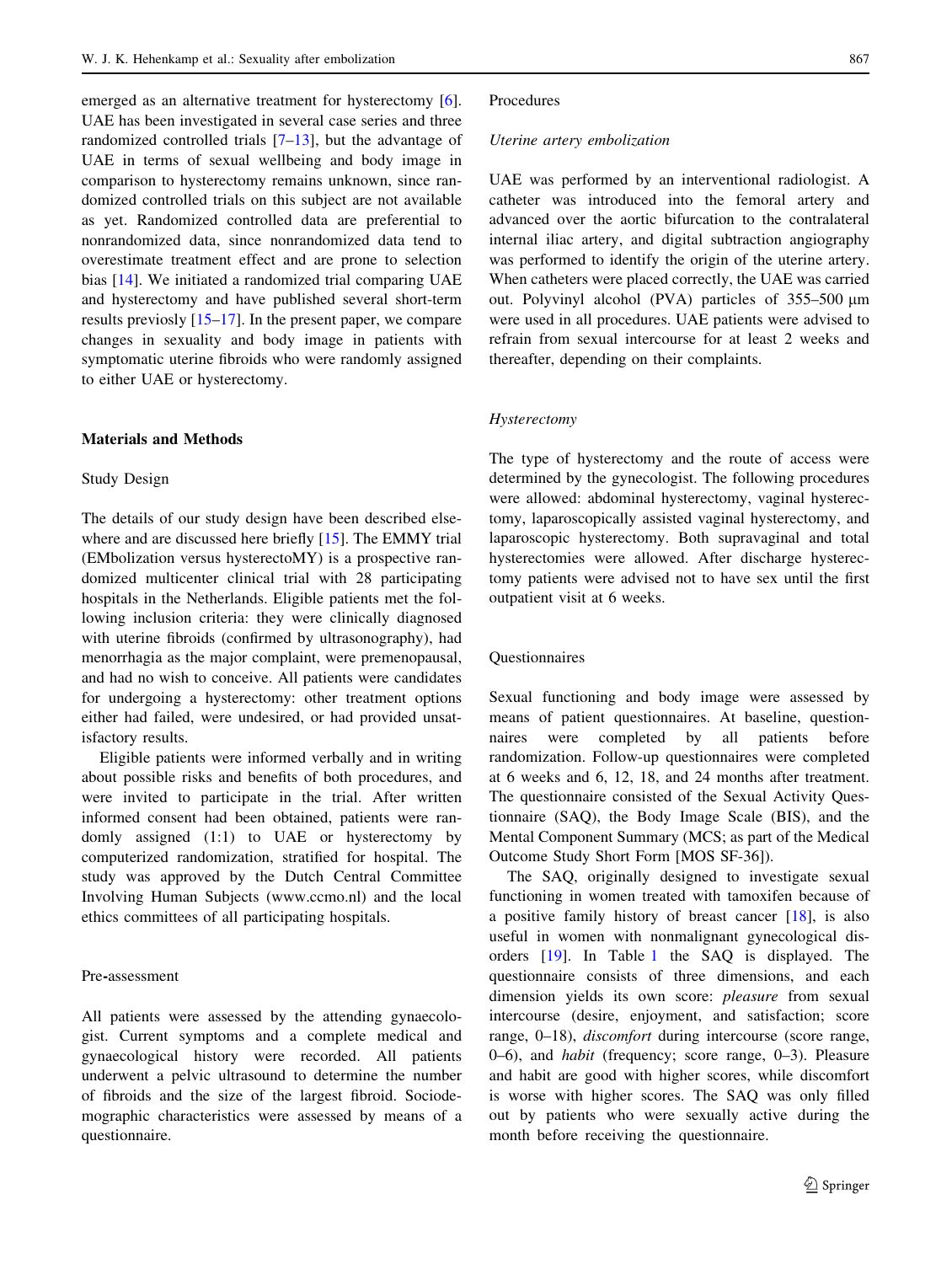emerged as an alternative treatment for hysterectomy [\[6](#page-8-0)]. UAE has been investigated in several case series and three randomized controlled trials [[7–13\]](#page-8-0), but the advantage of UAE in terms of sexual wellbeing and body image in comparison to hysterectomy remains unknown, since randomized controlled trials on this subject are not available as yet. Randomized controlled data are preferential to nonrandomized data, since nonrandomized data tend to overestimate treatment effect and are prone to selection bias [[14\]](#page-8-0). We initiated a randomized trial comparing UAE and hysterectomy and have published several short-term results previosly [[15–17\]](#page-8-0). In the present paper, we compare changes in sexuality and body image in patients with symptomatic uterine fibroids who were randomly assigned to either UAE or hysterectomy.

## Materials and Methods

## Study Design

The details of our study design have been described elsewhere and are discussed here briefly [[15\]](#page-8-0). The EMMY trial (EMbolization versus hysterectoMY) is a prospective randomized multicenter clinical trial with 28 participating hospitals in the Netherlands. Eligible patients met the following inclusion criteria: they were clinically diagnosed with uterine fibroids (confirmed by ultrasonography), had menorrhagia as the major complaint, were premenopausal, and had no wish to conceive. All patients were candidates for undergoing a hysterectomy: other treatment options either had failed, were undesired, or had provided unsatisfactory results.

Eligible patients were informed verbally and in writing about possible risks and benefits of both procedures, and were invited to participate in the trial. After written informed consent had been obtained, patients were randomly assigned (1:1) to UAE or hysterectomy by computerized randomization, stratified for hospital. The study was approved by the Dutch Central Committee Involving Human Subjects (www.ccmo.nl) and the local ethics committees of all participating hospitals.

#### Pre-assessment

All patients were assessed by the attending gynaecologist. Current symptoms and a complete medical and gynaecological history were recorded. All patients underwent a pelvic ultrasound to determine the number of fibroids and the size of the largest fibroid. Sociodemographic characteristics were assessed by means of a questionnaire.

#### Procedures

#### Uterine artery embolization

UAE was performed by an interventional radiologist. A catheter was introduced into the femoral artery and advanced over the aortic bifurcation to the contralateral internal iliac artery, and digital subtraction angiography was performed to identify the origin of the uterine artery. When catheters were placed correctly, the UAE was carried out. Polyvinyl alcohol (PVA) particles of 355–500 *l*m were used in all procedures. UAE patients were advised to refrain from sexual intercourse for at least 2 weeks and thereafter, depending on their complaints.

#### Hysterectomy

The type of hysterectomy and the route of access were determined by the gynecologist. The following procedures were allowed: abdominal hysterectomy, vaginal hysterectomy, laparoscopically assisted vaginal hysterectomy, and laparoscopic hysterectomy. Both supravaginal and total hysterectomies were allowed. After discharge hysterectomy patients were advised not to have sex until the first outpatient visit at 6 weeks.

# Questionnaires

Sexual functioning and body image were assessed by means of patient questionnaires. At baseline, questionnaires were completed by all patients before randomization. Follow-up questionnaires were completed at 6 weeks and 6, 12, 18, and 24 months after treatment. The questionnaire consisted of the Sexual Activity Questionnaire (SAQ), the Body Image Scale (BIS), and the Mental Component Summary (MCS; as part of the Medical Outcome Study Short Form [MOS SF-36]).

The SAQ, originally designed to investigate sexual functioning in women treated with tamoxifen because of a positive family history of breast cancer [\[18](#page-8-0)], is also useful in women with nonmalignant gynecological disorders [[19\]](#page-8-0). In Table 1 the SAQ is displayed. The questionnaire consists of three dimensions, and each dimension yields its own score: pleasure from sexual intercourse (desire, enjoyment, and satisfaction; score range, 0–18), discomfort during intercourse (score range, 0–6), and habit (frequency; score range, 0–3). Pleasure and habit are good with higher scores, while discomfort is worse with higher scores. The SAQ was only filled out by patients who were sexually active during the month before receiving the questionnaire.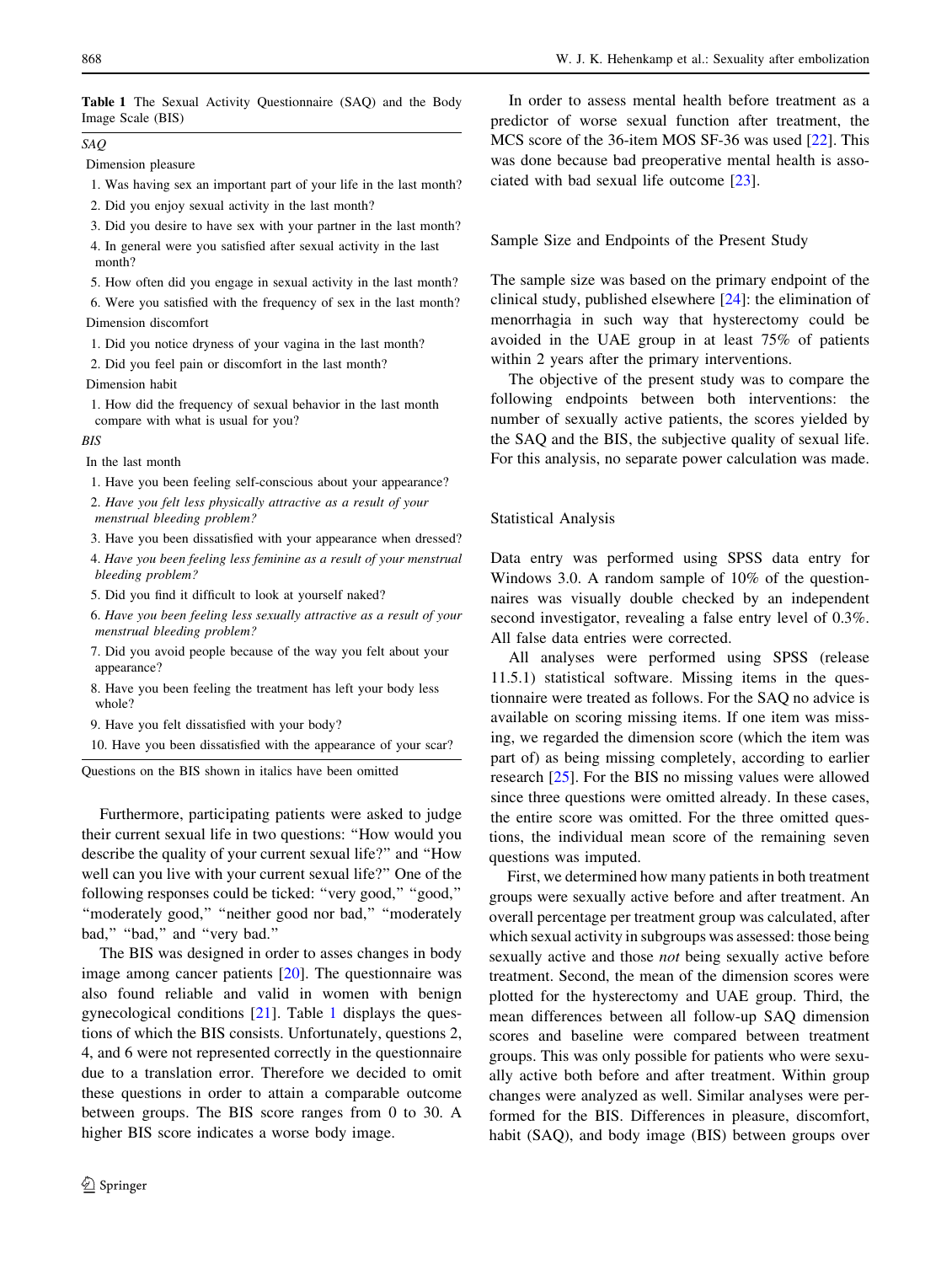Table 1 The Sexual Activity Questionnaire (SAQ) and the Body Image Scale (BIS)

## SAQ

Dimension pleasure

- 1. Was having sex an important part of your life in the last month?
- 2. Did you enjoy sexual activity in the last month?
- 3. Did you desire to have sex with your partner in the last month?

4. In general were you satisfied after sexual activity in the last month?

5. How often did you engage in sexual activity in the last month? 6. Were you satisfied with the frequency of sex in the last month? Dimension discomfort

1. Did you notice dryness of your vagina in the last month?

2. Did you feel pain or discomfort in the last month?

Dimension habit

1. How did the frequency of sexual behavior in the last month compare with what is usual for you?

**BIS** 

In the last month

1. Have you been feeling self-conscious about your appearance?

2. Have you felt less physically attractive as a result of your menstrual bleeding problem?

3. Have you been dissatisfied with your appearance when dressed?

4. Have you been feeling less feminine as a result of your menstrual bleeding problem?

5. Did you find it difficult to look at yourself naked?

6. Have you been feeling less sexually attractive as a result of your menstrual bleeding problem?

7. Did you avoid people because of the way you felt about your appearance?

8. Have you been feeling the treatment has left your body less whole?

9. Have you felt dissatisfied with your body?

10. Have you been dissatisfied with the appearance of your scar?

Questions on the BIS shown in italics have been omitted

Furthermore, participating patients were asked to judge their current sexual life in two questions: ''How would you describe the quality of your current sexual life?'' and ''How well can you live with your current sexual life?'' One of the following responses could be ticked: "very good," "good," "moderately good," "neither good nor bad," "moderately bad," "bad," and "very bad."

The BIS was designed in order to asses changes in body image among cancer patients [[20\]](#page-8-0). The questionnaire was also found reliable and valid in women with benign gynecological conditions [\[21](#page-8-0)]. Table 1 displays the questions of which the BIS consists. Unfortunately, questions 2, 4, and 6 were not represented correctly in the questionnaire due to a translation error. Therefore we decided to omit these questions in order to attain a comparable outcome between groups. The BIS score ranges from 0 to 30. A higher BIS score indicates a worse body image.

In order to assess mental health before treatment as a predictor of worse sexual function after treatment, the MCS score of the 36-item MOS SF-36 was used [[22\]](#page-8-0). This was done because bad preoperative mental health is associated with bad sexual life outcome [\[23](#page-8-0)].

Sample Size and Endpoints of the Present Study

The sample size was based on the primary endpoint of the clinical study, published elsewhere [[24\]](#page-8-0): the elimination of menorrhagia in such way that hysterectomy could be avoided in the UAE group in at least 75% of patients within 2 years after the primary interventions.

The objective of the present study was to compare the following endpoints between both interventions: the number of sexually active patients, the scores yielded by the SAQ and the BIS, the subjective quality of sexual life. For this analysis, no separate power calculation was made.

#### Statistical Analysis

Data entry was performed using SPSS data entry for Windows 3.0. A random sample of 10% of the questionnaires was visually double checked by an independent second investigator, revealing a false entry level of 0.3%. All false data entries were corrected.

All analyses were performed using SPSS (release 11.5.1) statistical software. Missing items in the questionnaire were treated as follows. For the SAQ no advice is available on scoring missing items. If one item was missing, we regarded the dimension score (which the item was part of) as being missing completely, according to earlier research [[25\]](#page-8-0). For the BIS no missing values were allowed since three questions were omitted already. In these cases, the entire score was omitted. For the three omitted questions, the individual mean score of the remaining seven questions was imputed.

First, we determined how many patients in both treatment groups were sexually active before and after treatment. An overall percentage per treatment group was calculated, after which sexual activity in subgroups was assessed: those being sexually active and those not being sexually active before treatment. Second, the mean of the dimension scores were plotted for the hysterectomy and UAE group. Third, the mean differences between all follow-up SAQ dimension scores and baseline were compared between treatment groups. This was only possible for patients who were sexually active both before and after treatment. Within group changes were analyzed as well. Similar analyses were performed for the BIS. Differences in pleasure, discomfort, habit (SAQ), and body image (BIS) between groups over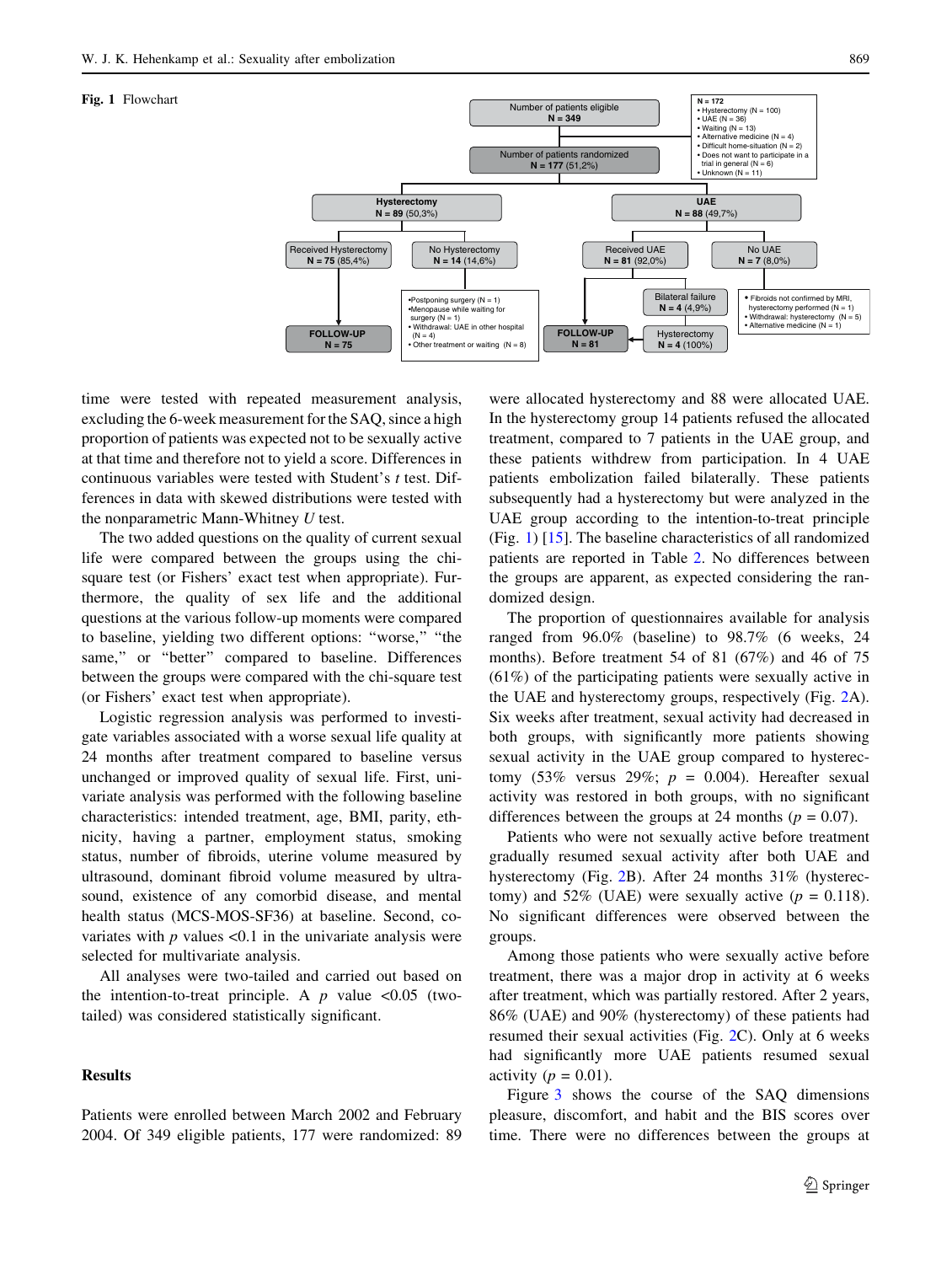#### Fig. 1 Flowchart



time were tested with repeated measurement analysis, excluding the 6-week measurement for the SAQ, since a high proportion of patients was expected not to be sexually active at that time and therefore not to yield a score. Differences in continuous variables were tested with Student's t test. Differences in data with skewed distributions were tested with the nonparametric Mann-Whitney U test.

The two added questions on the quality of current sexual life were compared between the groups using the chisquare test (or Fishers' exact test when appropriate). Furthermore, the quality of sex life and the additional questions at the various follow-up moments were compared to baseline, yielding two different options: ''worse,'' ''the same," or "better" compared to baseline. Differences between the groups were compared with the chi-square test (or Fishers' exact test when appropriate).

Logistic regression analysis was performed to investigate variables associated with a worse sexual life quality at 24 months after treatment compared to baseline versus unchanged or improved quality of sexual life. First, univariate analysis was performed with the following baseline characteristics: intended treatment, age, BMI, parity, ethnicity, having a partner, employment status, smoking status, number of fibroids, uterine volume measured by ultrasound, dominant fibroid volume measured by ultrasound, existence of any comorbid disease, and mental health status (MCS-MOS-SF36) at baseline. Second, covariates with  $p$  values <0.1 in the univariate analysis were selected for multivariate analysis.

All analyses were two-tailed and carried out based on the intention-to-treat principle. A  $p$  value <0.05 (twotailed) was considered statistically significant.

# Results

Patients were enrolled between March 2002 and February 2004. Of 349 eligible patients, 177 were randomized: 89

were allocated hysterectomy and 88 were allocated UAE. In the hysterectomy group 14 patients refused the allocated treatment, compared to 7 patients in the UAE group, and these patients withdrew from participation. In 4 UAE patients embolization failed bilaterally. These patients subsequently had a hysterectomy but were analyzed in the UAE group according to the intention-to-treat principle (Fig. 1) [[15\]](#page-8-0). The baseline characteristics of all randomized patients are reported in Table 2. No differences between the groups are apparent, as expected considering the randomized design.

The proportion of questionnaires available for analysis ranged from 96.0% (baseline) to 98.7% (6 weeks, 24 months). Before treatment 54 of 81 (67%) and 46 of 75 (61%) of the participating patients were sexually active in the UAE and hysterectomy groups, respectively (Fig. [2](#page-5-0)A). Six weeks after treatment, sexual activity had decreased in both groups, with significantly more patients showing sexual activity in the UAE group compared to hysterectomy (53% versus 29%;  $p = 0.004$ ). Hereafter sexual activity was restored in both groups, with no significant differences between the groups at 24 months ( $p = 0.07$ ).

Patients who were not sexually active before treatment gradually resumed sexual activity after both UAE and hysterectomy (Fig. [2B](#page-5-0)). After 24 months 31% (hysterectomy) and 52% (UAE) were sexually active  $(p = 0.118)$ . No significant differences were observed between the groups.

Among those patients who were sexually active before treatment, there was a major drop in activity at 6 weeks after treatment, which was partially restored. After 2 years, 86% (UAE) and 90% (hysterectomy) of these patients had resumed their sexual activities (Fig. [2](#page-5-0)C). Only at 6 weeks had significantly more UAE patients resumed sexual activity ( $p = 0.01$ ).

Figure [3](#page-5-0) shows the course of the SAQ dimensions pleasure, discomfort, and habit and the BIS scores over time. There were no differences between the groups at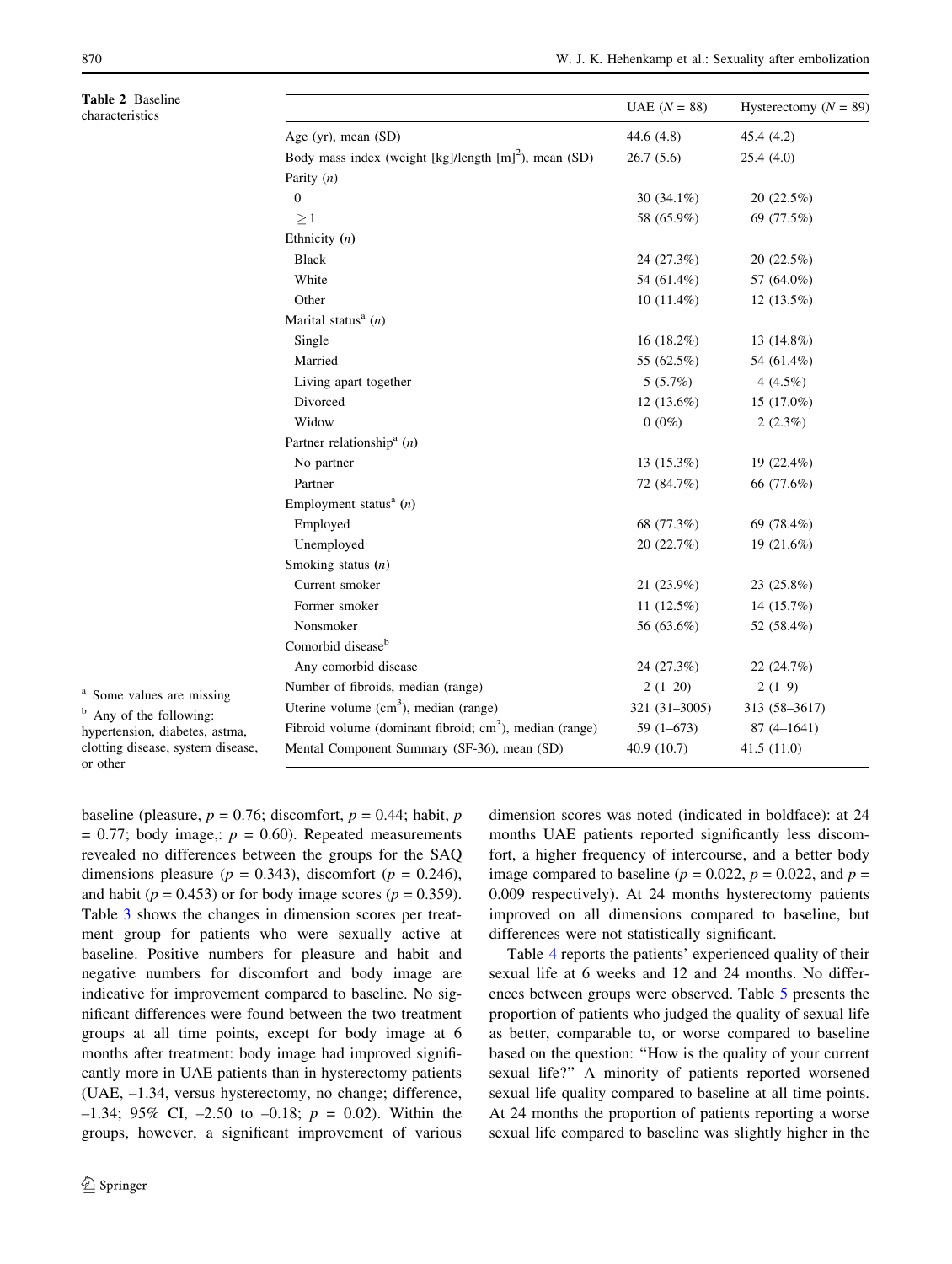Table 2 Baseline characteristics

|                                                                     | UAE $(N = 88)$ | Hysterectomy ( $N = 89$ ) |
|---------------------------------------------------------------------|----------------|---------------------------|
| Age (yr), mean (SD)                                                 | 44.6 (4.8)     | 45.4 (4.2)                |
| Body mass index (weight [kg]/length $[m]^2$ ), mean (SD)            | 26.7(5.6)      | 25.4(4.0)                 |
| Parity $(n)$                                                        |                |                           |
| $\boldsymbol{0}$                                                    | 30 (34.1%)     | 20 (22.5%)                |
| $\geq 1$                                                            | 58 (65.9%)     | 69 (77.5%)                |
| Ethnicity $(n)$                                                     |                |                           |
| <b>Black</b>                                                        | 24 (27.3%)     | 20(22.5%)                 |
| White                                                               | 54 (61.4%)     | 57 (64.0%)                |
| Other                                                               | 10 $(11.4\%)$  | 12 (13.5%)                |
| Marital status <sup>a</sup> $(n)$                                   |                |                           |
| Single                                                              | 16 (18.2%)     | 13 (14.8%)                |
| Married                                                             | 55 (62.5%)     | 54 (61.4%)                |
| Living apart together                                               | 5(5.7%)        | 4 $(4.5\%)$               |
| Divorced                                                            | 12 $(13.6\%)$  | 15 (17.0%)                |
| Widow                                                               | $0(0\%)$       | $2(2.3\%)$                |
| Partner relationship <sup>a</sup> $(n)$                             |                |                           |
| No partner                                                          | 13(15.3%)      | 19 (22.4%)                |
| Partner                                                             | 72 (84.7%)     | 66 (77.6%)                |
| Employment status <sup>a</sup> $(n)$                                |                |                           |
| Employed                                                            | 68 (77.3%)     | 69 (78.4%)                |
| Unemployed                                                          | 20 (22.7%)     | 19 (21.6%)                |
| Smoking status $(n)$                                                |                |                           |
| Current smoker                                                      | 21 (23.9%)     | 23 (25.8%)                |
| Former smoker                                                       | 11 (12.5%)     | 14 (15.7%)                |
| Nonsmoker                                                           | 56 (63.6%)     | 52 (58.4%)                |
| Comorbid disease <sup>b</sup>                                       |                |                           |
| Any comorbid disease                                                | 24 (27.3%)     | 22 (24.7%)                |
| Number of fibroids, median (range)                                  | $2(1-20)$      | $2(1-9)$                  |
| Uterine volume $(cm3)$ , median (range)                             | 321 (31-3005)  | 313 (58-3617)             |
| Fibroid volume (dominant fibroid; cm <sup>3</sup> ), median (range) | $59(1-673)$    | $87(4 - 1641)$            |
| Mental Component Summary (SF-36), mean (SD)                         | 40.9 (10.7)    | 41.5(11.0)                |

<sup>a</sup> Some values are missing  $<sup>b</sup>$  Any of the following:</sup> hypertension, diabetes, astma, clotting disease, system disease, or other

baseline (pleasure,  $p = 0.76$ ; discomfort,  $p = 0.44$ ; habit, p  $= 0.77$ ; body image,:  $p = 0.60$ ). Repeated measurements revealed no differences between the groups for the SAQ dimensions pleasure ( $p = 0.343$ ), discomfort ( $p = 0.246$ ), and habit ( $p = 0.453$ ) or for body image scores ( $p = 0.359$ ). Table 3 shows the changes in dimension scores per treatment group for patients who were sexually active at baseline. Positive numbers for pleasure and habit and negative numbers for discomfort and body image are indicative for improvement compared to baseline. No significant differences were found between the two treatment groups at all time points, except for body image at 6 months after treatment: body image had improved significantly more in UAE patients than in hysterectomy patients (UAE, –1.34, versus hysterectomy, no change; difference,  $-1.34$ ; 95% CI,  $-2.50$  to  $-0.18$ ;  $p = 0.02$ ). Within the groups, however, a significant improvement of various dimension scores was noted (indicated in boldface): at 24 months UAE patients reported significantly less discomfort, a higher frequency of intercourse, and a better body image compared to baseline ( $p = 0.022$ ,  $p = 0.022$ , and  $p =$ 0.009 respectively). At 24 months hysterectomy patients improved on all dimensions compared to baseline, but differences were not statistically significant.

Table 4 reports the patients' experienced quality of their sexual life at 6 weeks and 12 and 24 months. No differences between groups were observed. Table 5 presents the proportion of patients who judged the quality of sexual life as better, comparable to, or worse compared to baseline based on the question: ''How is the quality of your current sexual life?'' A minority of patients reported worsened sexual life quality compared to baseline at all time points. At 24 months the proportion of patients reporting a worse sexual life compared to baseline was slightly higher in the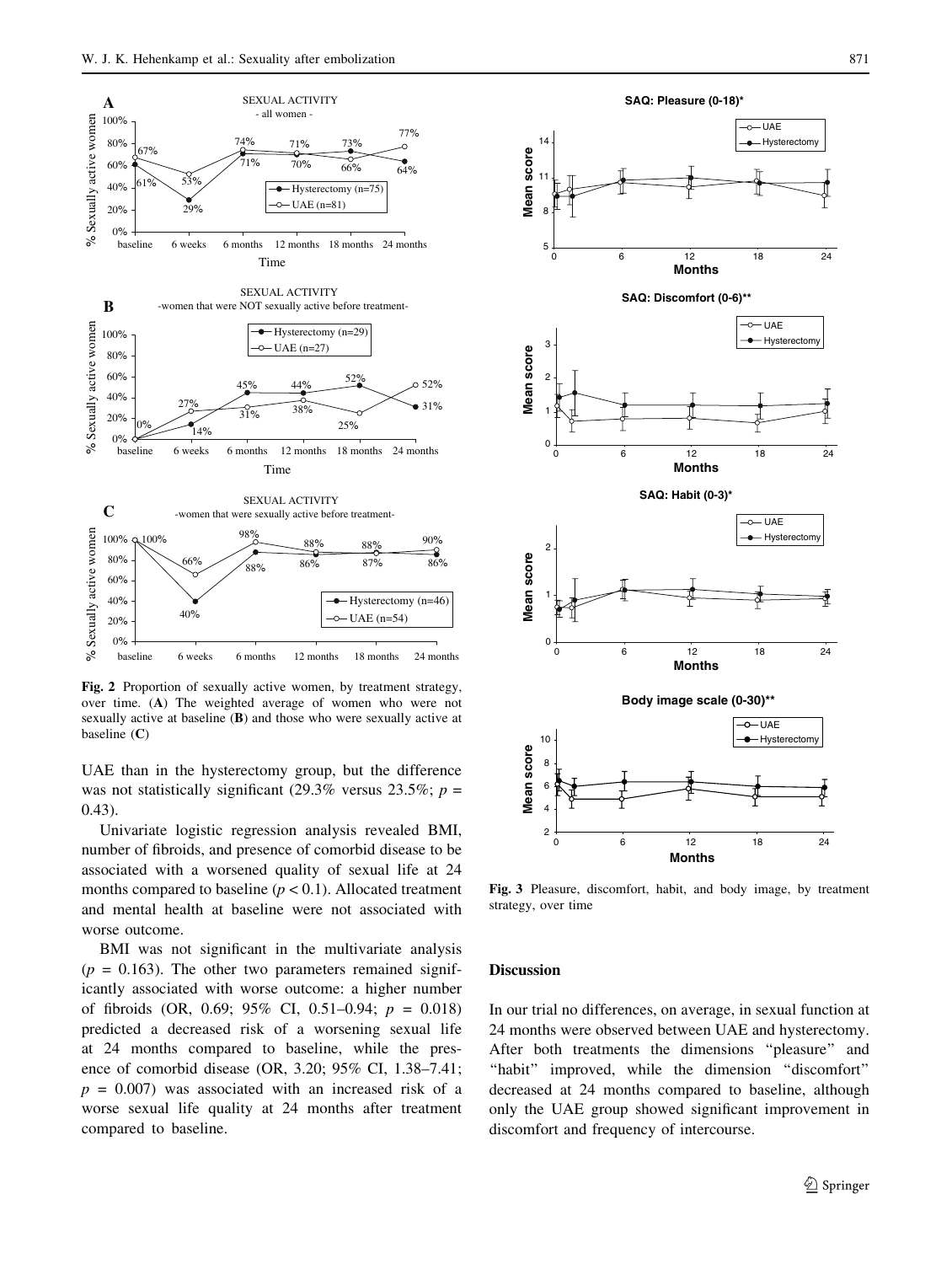<span id="page-5-0"></span>

Fig. 2 Proportion of sexually active women, by treatment strategy, over time. (A) The weighted average of women who were not sexually active at baseline (B) and those who were sexually active at baseline  $(C)$ 

UAE than in the hysterectomy group, but the difference was not statistically significant (29.3% versus 23.5%;  $p =$ 0.43).

Univariate logistic regression analysis revealed BMI, number of fibroids, and presence of comorbid disease to be associated with a worsened quality of sexual life at 24 months compared to baseline  $(p < 0.1)$ . Allocated treatment and mental health at baseline were not associated with worse outcome.

BMI was not significant in the multivariate analysis  $(p = 0.163)$ . The other two parameters remained significantly associated with worse outcome: a higher number of fibroids (OR, 0.69; 95% CI, 0.51-0.94;  $p = 0.018$ ) predicted a decreased risk of a worsening sexual life at 24 months compared to baseline, while the presence of comorbid disease (OR, 3.20; 95% CI, 1.38–7.41;  $p = 0.007$ ) was associated with an increased risk of a worse sexual life quality at 24 months after treatment compared to baseline.



Fig. 3 Pleasure, discomfort, habit, and body image, by treatment strategy, over time

## Discussion

In our trial no differences, on average, in sexual function at 24 months were observed between UAE and hysterectomy. After both treatments the dimensions ''pleasure'' and ''habit'' improved, while the dimension ''discomfort'' decreased at 24 months compared to baseline, although only the UAE group showed significant improvement in discomfort and frequency of intercourse.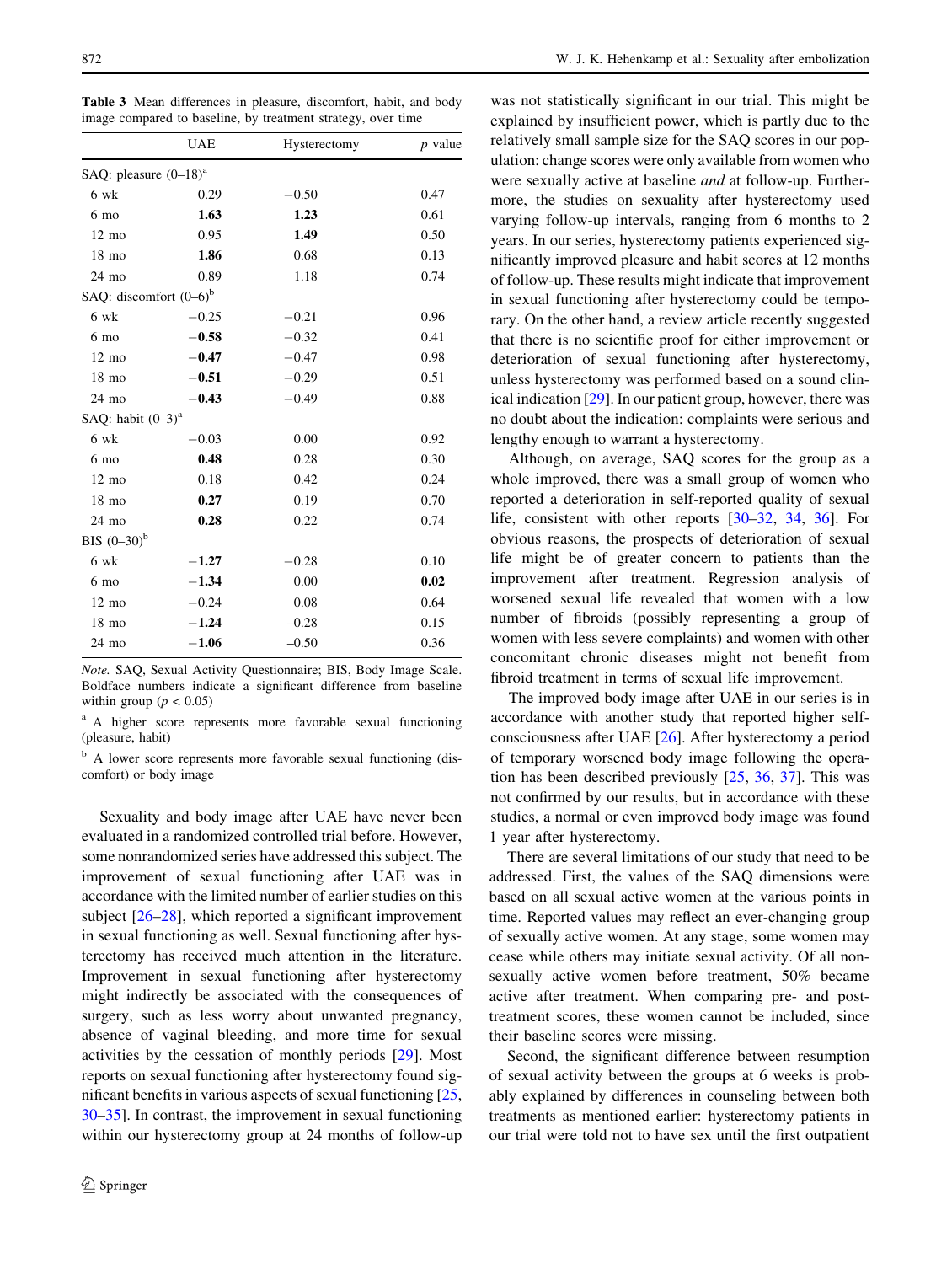Table 3 Mean differences in pleasure, discomfort, habit, and body image compared to baseline, by treatment strategy, over time

|                           | <b>UAE</b> | Hysterectomy | $p$ value |
|---------------------------|------------|--------------|-----------|
| SAQ: pleasure $(0-18)^a$  |            |              |           |
| 6 wk                      | 0.29       | $-0.50$      | 0.47      |
| 6 mo                      | 1.63       | 1.23         | 0.61      |
| $12 \text{ mo}$           | 0.95       | 1.49         | 0.50      |
| 18 mo                     | 1.86       | 0.68         | 0.13      |
| $24 \text{ mo}$           | 0.89       | 1.18         | 0.74      |
| SAQ: discomfort $(0-6)^b$ |            |              |           |
| $6 \text{ wk}$            | $-0.25$    | $-0.21$      | 0.96      |
| 6 mo                      | $-0.58$    | $-0.32$      | 0.41      |
| $12 \text{ mo}$           | $-0.47$    | $-0.47$      | 0.98      |
| $18 \text{ mo}$           | $-0.51$    | $-0.29$      | 0.51      |
| $24 \text{ mo}$           | $-0.43$    | $-0.49$      | 0.88      |
| SAQ: habit $(0-3)^a$      |            |              |           |
| 6 wk                      | $-0.03$    | 0.00         | 0.92      |
| 6 mo                      | 0.48       | 0.28         | 0.30      |
| $12 \text{ mo}$           | 0.18       | 0.42         | 0.24      |
| 18 mo                     | 0.27       | 0.19         | 0.70      |
| $24 \text{ mo}$           | 0.28       | 0.22         | 0.74      |
| BIS $(0-30)^b$            |            |              |           |
| 6 wk                      | $-1.27$    | $-0.28$      | 0.10      |
| 6 mo                      | $-1.34$    | 0.00         | 0.02      |
| $12 \text{ mo}$           | $-0.24$    | 0.08         | 0.64      |
| 18 mo                     | $-1.24$    | $-0.28$      | 0.15      |
| 24 mo                     | $-1.06$    | $-0.50$      | 0.36      |
|                           |            |              |           |

Note. SAQ, Sexual Activity Questionnaire; BIS, Body Image Scale. Boldface numbers indicate a significant difference from baseline within group ( $p < 0.05$ )

<sup>a</sup> A higher score represents more favorable sexual functioning (pleasure, habit)

<sup>b</sup> A lower score represents more favorable sexual functioning (discomfort) or body image

Sexuality and body image after UAE have never been evaluated in a randomized controlled trial before. However, some nonrandomized series have addressed this subject. The improvement of sexual functioning after UAE was in accordance with the limited number of earlier studies on this subject [[26–28\]](#page-8-0), which reported a significant improvement in sexual functioning as well. Sexual functioning after hysterectomy has received much attention in the literature. Improvement in sexual functioning after hysterectomy might indirectly be associated with the consequences of surgery, such as less worry about unwanted pregnancy, absence of vaginal bleeding, and more time for sexual activities by the cessation of monthly periods [[29\]](#page-8-0). Most reports on sexual functioning after hysterectomy found significant benefits in various aspects of sexual functioning [[25,](#page-8-0) [30](#page-8-0)–[35\]](#page-9-0). In contrast, the improvement in sexual functioning within our hysterectomy group at 24 months of follow-up

was not statistically significant in our trial. This might be explained by insufficient power, which is partly due to the relatively small sample size for the SAQ scores in our population: change scores were only available from women who were sexually active at baseline and at follow-up. Furthermore, the studies on sexuality after hysterectomy used varying follow-up intervals, ranging from 6 months to 2 years. In our series, hysterectomy patients experienced significantly improved pleasure and habit scores at 12 months of follow-up. These results might indicate that improvement in sexual functioning after hysterectomy could be temporary. On the other hand, a review article recently suggested that there is no scientific proof for either improvement or deterioration of sexual functioning after hysterectomy, unless hysterectomy was performed based on a sound clinical indication [[29\]](#page-8-0). In our patient group, however, there was no doubt about the indication: complaints were serious and lengthy enough to warrant a hysterectomy.

Although, on average, SAQ scores for the group as a whole improved, there was a small group of women who reported a deterioration in self-reported quality of sexual life, consistent with other reports [[30–32,](#page-8-0) [34,](#page-8-0) [36](#page-9-0)]. For obvious reasons, the prospects of deterioration of sexual life might be of greater concern to patients than the improvement after treatment. Regression analysis of worsened sexual life revealed that women with a low number of fibroids (possibly representing a group of women with less severe complaints) and women with other concomitant chronic diseases might not benefit from fibroid treatment in terms of sexual life improvement.

The improved body image after UAE in our series is in accordance with another study that reported higher selfconsciousness after UAE [\[26](#page-8-0)]. After hysterectomy a period of temporary worsened body image following the operation has been described previously [\[25](#page-8-0), [36](#page-9-0), [37](#page-9-0)]. This was not confirmed by our results, but in accordance with these studies, a normal or even improved body image was found 1 year after hysterectomy.

There are several limitations of our study that need to be addressed. First, the values of the SAQ dimensions were based on all sexual active women at the various points in time. Reported values may reflect an ever-changing group of sexually active women. At any stage, some women may cease while others may initiate sexual activity. Of all nonsexually active women before treatment, 50% became active after treatment. When comparing pre- and posttreatment scores, these women cannot be included, since their baseline scores were missing.

Second, the significant difference between resumption of sexual activity between the groups at 6 weeks is probably explained by differences in counseling between both treatments as mentioned earlier: hysterectomy patients in our trial were told not to have sex until the first outpatient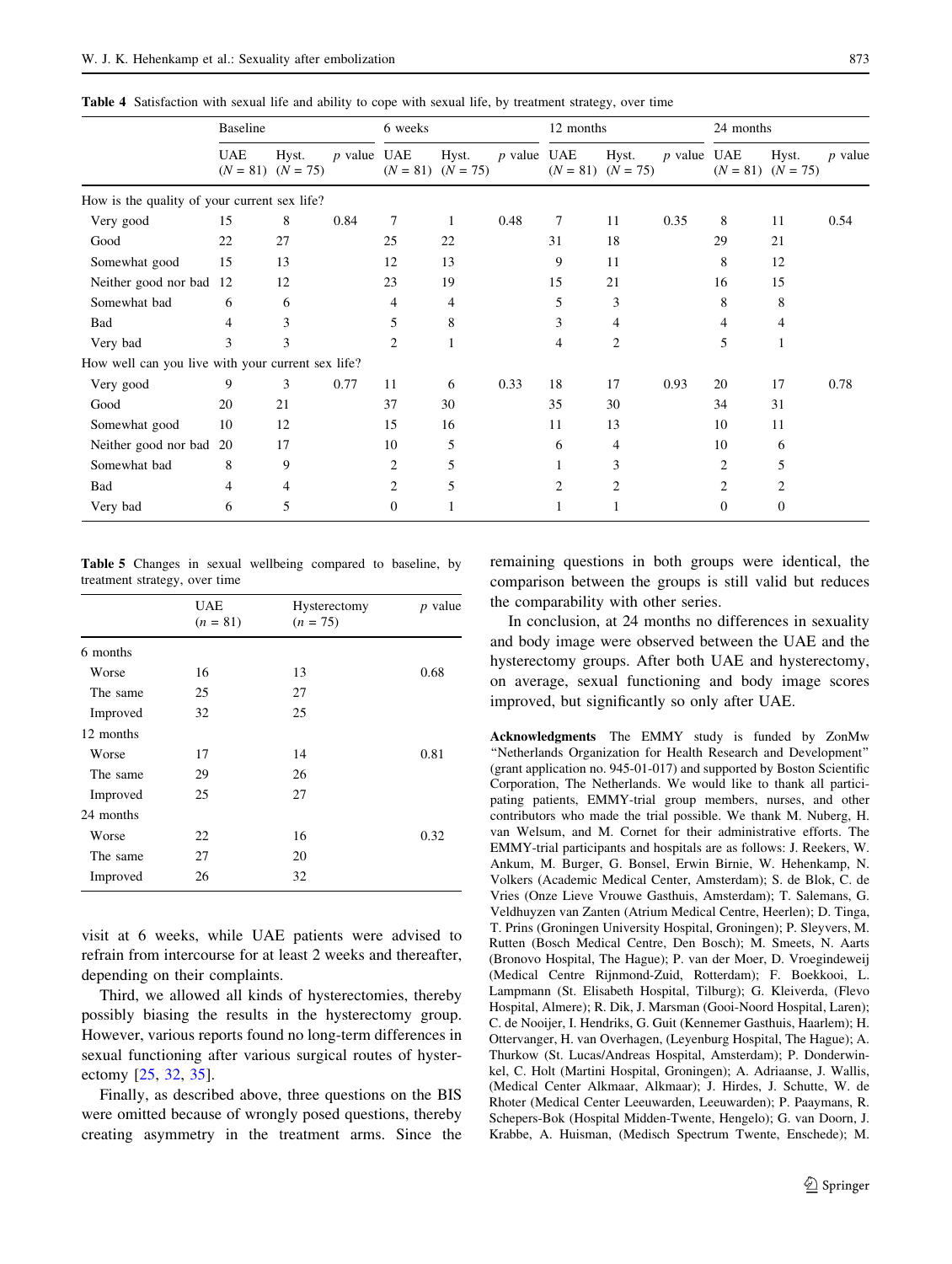Table 4 Satisfaction with sexual life and ability to cope with sexual life, by treatment strategy, over time

|                                                   | <b>Baseline</b>          |                     |               | 6 weeks        |                                | 12 months     |            |                     | 24 months     |              |                                |           |
|---------------------------------------------------|--------------------------|---------------------|---------------|----------------|--------------------------------|---------------|------------|---------------------|---------------|--------------|--------------------------------|-----------|
|                                                   | <b>UAE</b><br>$(N = 81)$ | Hyst.<br>$(N = 75)$ | $p$ value UAE |                | Hyst.<br>$(N = 81)$ $(N = 75)$ | $p$ value UAE | $(N = 81)$ | Hyst.<br>$(N = 75)$ | $p$ value UAE |              | Hyst.<br>$(N = 81)$ $(N = 75)$ | $p$ value |
| How is the quality of your current sex life?      |                          |                     |               |                |                                |               |            |                     |               |              |                                |           |
| Very good                                         | 15                       | 8                   | 0.84          | 7              | 1                              | 0.48          | $\tau$     | 11                  | 0.35          | 8            | 11                             | 0.54      |
| Good                                              | 22                       | 27                  |               | 25             | 22                             |               | 31         | 18                  |               | 29           | 21                             |           |
| Somewhat good                                     | 15                       | 13                  |               | 12             | 13                             |               | 9          | 11                  |               | 8            | 12                             |           |
| Neither good nor bad                              | 12                       | 12                  |               | 23             | 19                             |               | 15         | 21                  |               | 16           | 15                             |           |
| Somewhat bad                                      | 6                        | 6                   |               | 4              | 4                              |               | 5          | 3                   |               | 8            | 8                              |           |
| Bad                                               | 4                        | 3                   |               | 5              | 8                              |               | 3          | 4                   |               | 4            | 4                              |           |
| Very bad                                          | 3                        | 3                   |               | 2              | 1                              |               | 4          | $\overline{c}$      |               | 5            | 1                              |           |
| How well can you live with your current sex life? |                          |                     |               |                |                                |               |            |                     |               |              |                                |           |
| Very good                                         | 9                        | 3                   | 0.77          | 11             | 6                              | 0.33          | 18         | 17                  | 0.93          | 20           | 17                             | 0.78      |
| Good                                              | 20                       | 21                  |               | 37             | 30                             |               | 35         | 30                  |               | 34           | 31                             |           |
| Somewhat good                                     | 10                       | 12                  |               | 15             | 16                             |               | 11         | 13                  |               | 10           | 11                             |           |
| Neither good nor bad                              | 20                       | 17                  |               | 10             | 5                              |               | 6          | 4                   |               | 10           | 6                              |           |
| Somewhat bad                                      | 8                        | 9                   |               | 2              | 5                              |               |            | 3                   |               | 2            | 5                              |           |
| Bad                                               | 4                        | 4                   |               | 2              | 5                              |               | 2          | 2                   |               | 2            | 2                              |           |
| Very bad                                          | 6                        | 5                   |               | $\overline{0}$ | 1                              |               | 1          | 1                   |               | $\mathbf{0}$ | $\mathbf{0}$                   |           |

Table 5 Changes in sexual wellbeing compared to baseline, by treatment strategy, over time

|           | UAE<br>$(n = 81)$ | Hysterectomy<br>$(n = 75)$ | $p$ value |  |  |
|-----------|-------------------|----------------------------|-----------|--|--|
| 6 months  |                   |                            |           |  |  |
| Worse     | 16                | 13                         | 0.68      |  |  |
| The same  | 25                | 27                         |           |  |  |
| Improved  | 32                | 25                         |           |  |  |
| 12 months |                   |                            |           |  |  |
| Worse     | 17                | 14                         | 0.81      |  |  |
| The same  | 29                | 26                         |           |  |  |
| Improved  | 25                | 27                         |           |  |  |
| 24 months |                   |                            |           |  |  |
| Worse     | 22                | 16                         | 0.32      |  |  |
| The same  | 27                | 20                         |           |  |  |
| Improved  | 26                | 32                         |           |  |  |

visit at 6 weeks, while UAE patients were advised to refrain from intercourse for at least 2 weeks and thereafter, depending on their complaints.

Third, we allowed all kinds of hysterectomies, thereby possibly biasing the results in the hysterectomy group. However, various reports found no long-term differences in sexual functioning after various surgical routes of hysterectomy [\[25](#page-8-0), [32,](#page-8-0) [35\]](#page-9-0).

Finally, as described above, three questions on the BIS were omitted because of wrongly posed questions, thereby creating asymmetry in the treatment arms. Since the remaining questions in both groups were identical, the comparison between the groups is still valid but reduces the comparability with other series.

In conclusion, at 24 months no differences in sexuality and body image were observed between the UAE and the hysterectomy groups. After both UAE and hysterectomy, on average, sexual functioning and body image scores improved, but significantly so only after UAE.

Acknowledgments The EMMY study is funded by ZonMw ''Netherlands Organization for Health Research and Development'' (grant application no. 945-01-017) and supported by Boston Scientific Corporation, The Netherlands. We would like to thank all participating patients, EMMY-trial group members, nurses, and other contributors who made the trial possible. We thank M. Nuberg, H. van Welsum, and M. Cornet for their administrative efforts. The EMMY-trial participants and hospitals are as follows: J. Reekers, W. Ankum, M. Burger, G. Bonsel, Erwin Birnie, W. Hehenkamp, N. Volkers (Academic Medical Center, Amsterdam); S. de Blok, C. de Vries (Onze Lieve Vrouwe Gasthuis, Amsterdam); T. Salemans, G. Veldhuyzen van Zanten (Atrium Medical Centre, Heerlen); D. Tinga, T. Prins (Groningen University Hospital, Groningen); P. Sleyvers, M. Rutten (Bosch Medical Centre, Den Bosch); M. Smeets, N. Aarts (Bronovo Hospital, The Hague); P. van der Moer, D. Vroegindeweij (Medical Centre Rijnmond-Zuid, Rotterdam); F. Boekkooi, L. Lampmann (St. Elisabeth Hospital, Tilburg); G. Kleiverda, (Flevo Hospital, Almere); R. Dik, J. Marsman (Gooi-Noord Hospital, Laren); C. de Nooijer, I. Hendriks, G. Guit (Kennemer Gasthuis, Haarlem); H. Ottervanger, H. van Overhagen, (Leyenburg Hospital, The Hague); A. Thurkow (St. Lucas/Andreas Hospital, Amsterdam); P. Donderwinkel, C. Holt (Martini Hospital, Groningen); A. Adriaanse, J. Wallis, (Medical Center Alkmaar, Alkmaar); J. Hirdes, J. Schutte, W. de Rhoter (Medical Center Leeuwarden, Leeuwarden); P. Paaymans, R. Schepers-Bok (Hospital Midden-Twente, Hengelo); G. van Doorn, J. Krabbe, A. Huisman, (Medisch Spectrum Twente, Enschede); M.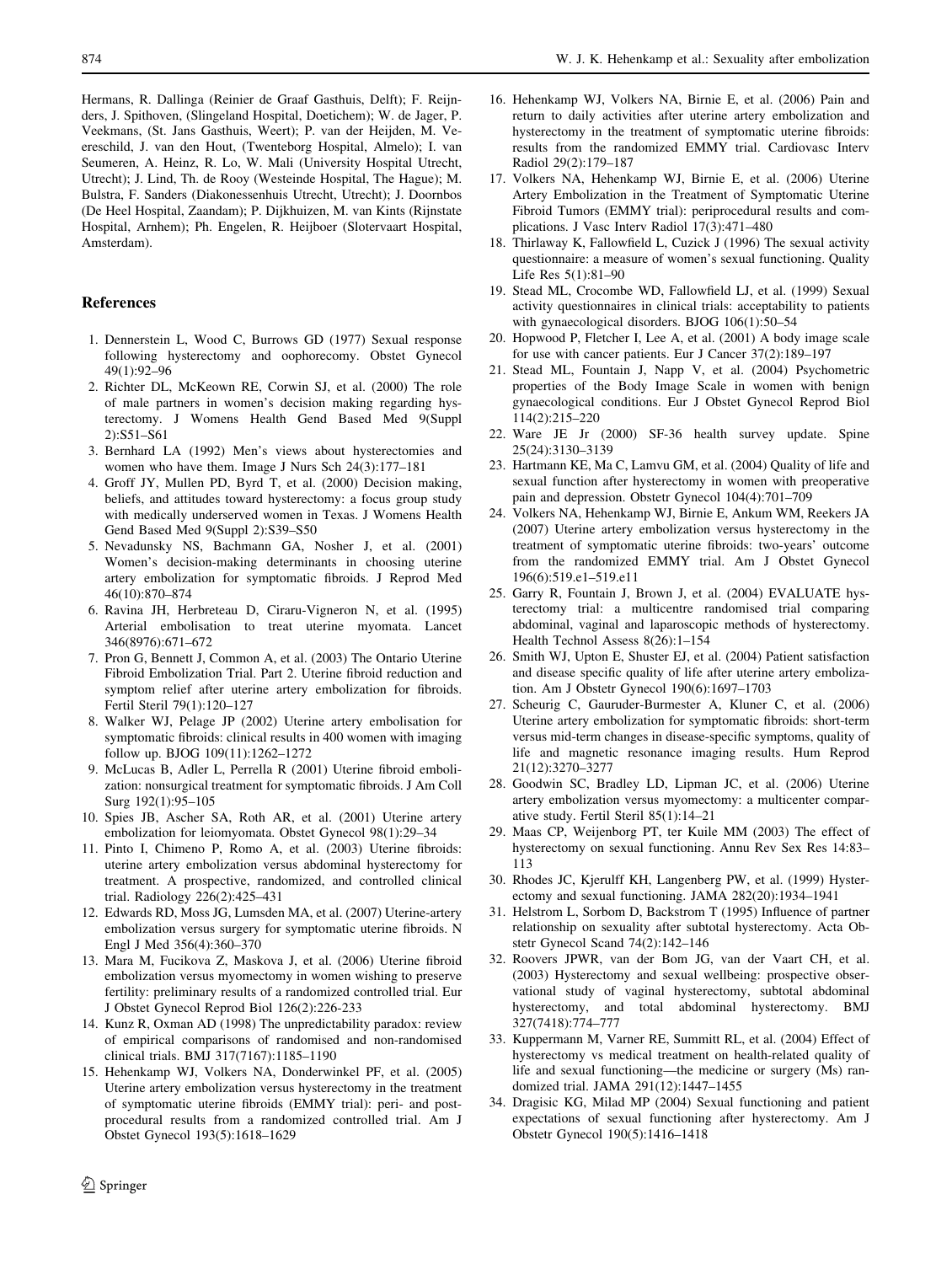<span id="page-8-0"></span>Hermans, R. Dallinga (Reinier de Graaf Gasthuis, Delft); F. Reijnders, J. Spithoven, (Slingeland Hospital, Doetichem); W. de Jager, P. Veekmans, (St. Jans Gasthuis, Weert); P. van der Heijden, M. Veereschild, J. van den Hout, (Twenteborg Hospital, Almelo); I. van Seumeren, A. Heinz, R. Lo, W. Mali (University Hospital Utrecht, Utrecht); J. Lind, Th. de Rooy (Westeinde Hospital, The Hague); M. Bulstra, F. Sanders (Diakonessenhuis Utrecht, Utrecht); J. Doornbos (De Heel Hospital, Zaandam); P. Dijkhuizen, M. van Kints (Rijnstate Hospital, Arnhem); Ph. Engelen, R. Heijboer (Slotervaart Hospital, Amsterdam).

## References

- 1. Dennerstein L, Wood C, Burrows GD (1977) Sexual response following hysterectomy and oophorecomy. Obstet Gynecol 49(1):92–96
- 2. Richter DL, McKeown RE, Corwin SJ, et al. (2000) The role of male partners in women's decision making regarding hysterectomy. J Womens Health Gend Based Med 9(Suppl 2):S51–S61
- 3. Bernhard LA (1992) Men's views about hysterectomies and women who have them. Image J Nurs Sch 24(3):177–181
- 4. Groff JY, Mullen PD, Byrd T, et al. (2000) Decision making, beliefs, and attitudes toward hysterectomy: a focus group study with medically underserved women in Texas. J Womens Health Gend Based Med 9(Suppl 2):S39–S50
- 5. Nevadunsky NS, Bachmann GA, Nosher J, et al. (2001) Women's decision-making determinants in choosing uterine artery embolization for symptomatic fibroids. J Reprod Med 46(10):870–874
- 6. Ravina JH, Herbreteau D, Ciraru-Vigneron N, et al. (1995) Arterial embolisation to treat uterine myomata. Lancet 346(8976):671–672
- 7. Pron G, Bennett J, Common A, et al. (2003) The Ontario Uterine Fibroid Embolization Trial. Part 2. Uterine fibroid reduction and symptom relief after uterine artery embolization for fibroids. Fertil Steril 79(1):120–127
- 8. Walker WJ, Pelage JP (2002) Uterine artery embolisation for symptomatic fibroids: clinical results in 400 women with imaging follow up. BJOG 109(11):1262–1272
- 9. McLucas B, Adler L, Perrella R (2001) Uterine fibroid embolization: nonsurgical treatment for symptomatic fibroids. J Am Coll Surg 192(1):95–105
- 10. Spies JB, Ascher SA, Roth AR, et al. (2001) Uterine artery embolization for leiomyomata. Obstet Gynecol 98(1):29–34
- 11. Pinto I, Chimeno P, Romo A, et al. (2003) Uterine fibroids: uterine artery embolization versus abdominal hysterectomy for treatment. A prospective, randomized, and controlled clinical trial. Radiology 226(2):425–431
- 12. Edwards RD, Moss JG, Lumsden MA, et al. (2007) Uterine-artery embolization versus surgery for symptomatic uterine fibroids. N Engl J Med 356(4):360–370
- 13. Mara M, Fucikova Z, Maskova J, et al. (2006) Uterine fibroid embolization versus myomectomy in women wishing to preserve fertility: preliminary results of a randomized controlled trial. Eur J Obstet Gynecol Reprod Biol 126(2):226-233
- 14. Kunz R, Oxman AD (1998) The unpredictability paradox: review of empirical comparisons of randomised and non-randomised clinical trials. BMJ 317(7167):1185–1190
- 15. Hehenkamp WJ, Volkers NA, Donderwinkel PF, et al. (2005) Uterine artery embolization versus hysterectomy in the treatment of symptomatic uterine fibroids (EMMY trial): peri- and postprocedural results from a randomized controlled trial. Am J Obstet Gynecol 193(5):1618–1629
- 16. Hehenkamp WJ, Volkers NA, Birnie E, et al. (2006) Pain and return to daily activities after uterine artery embolization and hysterectomy in the treatment of symptomatic uterine fibroids: results from the randomized EMMY trial. Cardiovasc Interv Radiol 29(2):179–187
- 17. Volkers NA, Hehenkamp WJ, Birnie E, et al. (2006) Uterine Artery Embolization in the Treatment of Symptomatic Uterine Fibroid Tumors (EMMY trial): periprocedural results and complications. J Vasc Interv Radiol 17(3):471–480
- 18. Thirlaway K, Fallowfield L, Cuzick J (1996) The sexual activity questionnaire: a measure of women's sexual functioning. Quality Life Res 5(1):81–90
- 19. Stead ML, Crocombe WD, Fallowfield LJ, et al. (1999) Sexual activity questionnaires in clinical trials: acceptability to patients with gynaecological disorders. BJOG 106(1):50–54
- 20. Hopwood P, Fletcher I, Lee A, et al. (2001) A body image scale for use with cancer patients. Eur J Cancer 37(2):189–197
- 21. Stead ML, Fountain J, Napp V, et al. (2004) Psychometric properties of the Body Image Scale in women with benign gynaecological conditions. Eur J Obstet Gynecol Reprod Biol 114(2):215–220
- 22. Ware JE Jr (2000) SF-36 health survey update. Spine 25(24):3130–3139
- 23. Hartmann KE, Ma C, Lamvu GM, et al. (2004) Quality of life and sexual function after hysterectomy in women with preoperative pain and depression. Obstetr Gynecol 104(4):701–709
- 24. Volkers NA, Hehenkamp WJ, Birnie E, Ankum WM, Reekers JA (2007) Uterine artery embolization versus hysterectomy in the treatment of symptomatic uterine fibroids: two-years' outcome from the randomized EMMY trial. Am J Obstet Gynecol 196(6):519.e1–519.e11
- 25. Garry R, Fountain J, Brown J, et al. (2004) EVALUATE hysterectomy trial: a multicentre randomised trial comparing abdominal, vaginal and laparoscopic methods of hysterectomy. Health Technol Assess 8(26):1–154
- 26. Smith WJ, Upton E, Shuster EJ, et al. (2004) Patient satisfaction and disease specific quality of life after uterine artery embolization. Am J Obstetr Gynecol 190(6):1697–1703
- 27. Scheurig C, Gauruder-Burmester A, Kluner C, et al. (2006) Uterine artery embolization for symptomatic fibroids: short-term versus mid-term changes in disease-specific symptoms, quality of life and magnetic resonance imaging results. Hum Reprod 21(12):3270–3277
- 28. Goodwin SC, Bradley LD, Lipman JC, et al. (2006) Uterine artery embolization versus myomectomy: a multicenter comparative study. Fertil Steril 85(1):14–21
- 29. Maas CP, Weijenborg PT, ter Kuile MM (2003) The effect of hysterectomy on sexual functioning. Annu Rev Sex Res 14:83– 113
- 30. Rhodes JC, Kjerulff KH, Langenberg PW, et al. (1999) Hysterectomy and sexual functioning. JAMA 282(20):1934–1941
- 31. Helstrom L, Sorbom D, Backstrom T (1995) Influence of partner relationship on sexuality after subtotal hysterectomy. Acta Obstetr Gynecol Scand 74(2):142–146
- 32. Roovers JPWR, van der Bom JG, van der Vaart CH, et al. (2003) Hysterectomy and sexual wellbeing: prospective observational study of vaginal hysterectomy, subtotal abdominal hysterectomy, and total abdominal hysterectomy. BMJ 327(7418):774–777
- 33. Kuppermann M, Varner RE, Summitt RL, et al. (2004) Effect of hysterectomy vs medical treatment on health-related quality of life and sexual functioning—the medicine or surgery (Ms) randomized trial. JAMA 291(12):1447–1455
- 34. Dragisic KG, Milad MP (2004) Sexual functioning and patient expectations of sexual functioning after hysterectomy. Am J Obstetr Gynecol 190(5):1416–1418